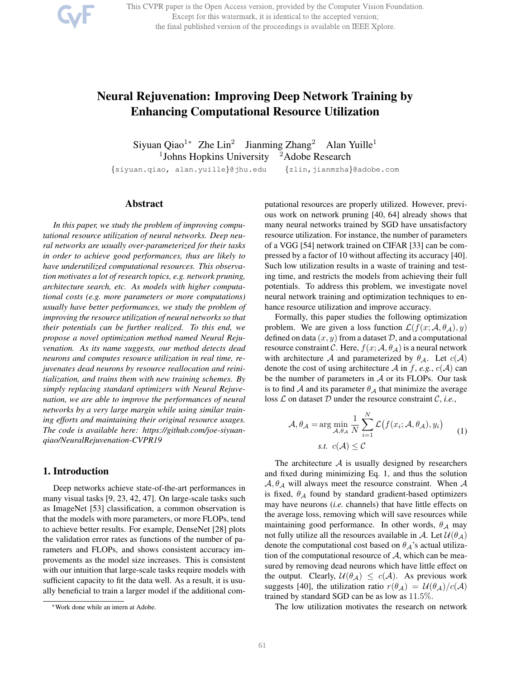This CVPR paper is the Open Access version, provided by the Computer Vision Foundation. Except for this watermark, it is identical to the accepted version; the final published version of the proceedings is available on IEEE Xplore.

# Neural Rejuvenation: Improving Deep Network Training by Enhancing Computational Resource Utilization

Siyuan Qiao<sup>1</sup>\* Zhe Lin<sup>2</sup> Jianming Zhang<sup>2</sup> Alan Yuille<sup>1</sup> <sup>1</sup>Johns Hopkins University <sup>2</sup>Adobe Research

{siyuan.qiao, alan.yuille}@jhu.edu {zlin,jianmzha}@adobe.com

## Abstract

*In this paper, we study the problem of improving computational resource utilization of neural networks. Deep neural networks are usually over-parameterized for their tasks in order to achieve good performances, thus are likely to have underutilized computational resources. This observation motivates a lot of research topics, e.g. network pruning, architecture search, etc. As models with higher computational costs (e.g. more parameters or more computations) usually have better performances, we study the problem of improving the resource utilization of neural networks so that their potentials can be further realized. To this end, we propose a novel optimization method named Neural Rejuvenation. As its name suggests, our method detects dead neurons and computes resource utilization in real time, rejuvenates dead neurons by resource reallocation and reinitialization, and trains them with new training schemes. By simply replacing standard optimizers with Neural Rejuvenation, we are able to improve the performances of neural networks by a very large margin while using similar training efforts and maintaining their original resource usages. The code is available here: https://github.com/joe-siyuanqiao/NeuralRejuvenation-CVPR19*

# 1. Introduction

Deep networks achieve state-of-the-art performances in many visual tasks [9, 23, 42, 47]. On large-scale tasks such as ImageNet [53] classification, a common observation is that the models with more parameters, or more FLOPs, tend to achieve better results. For example, DenseNet [28] plots the validation error rates as functions of the number of parameters and FLOPs, and shows consistent accuracy improvements as the model size increases. This is consistent with our intuition that large-scale tasks require models with sufficient capacity to fit the data well. As a result, it is usually beneficial to train a larger model if the additional computational resources are properly utilized. However, previous work on network pruning [40, 64] already shows that many neural networks trained by SGD have unsatisfactory resource utilization. For instance, the number of parameters of a VGG [54] network trained on CIFAR [33] can be compressed by a factor of 10 without affecting its accuracy [40]. Such low utilization results in a waste of training and testing time, and restricts the models from achieving their full potentials. To address this problem, we investigate novel neural network training and optimization techniques to enhance resource utilization and improve accuracy.

Formally, this paper studies the following optimization problem. We are given a loss function  $\mathcal{L}(f(x; \mathcal{A}, \theta_A), y)$ defined on data  $(x, y)$  from a dataset  $D$ , and a computational resource constraint C. Here,  $f(x; A, \theta_A)$  is a neural network with architecture A and parameterized by  $\theta_{\mathcal{A}}$ . Let  $c(\mathcal{A})$ denote the cost of using architecture A in f, e.g.,  $c(A)$  can be the number of parameters in  $A$  or its FLOPs. Our task is to find A and its parameter  $\theta_A$  that minimize the average loss  $\mathcal L$  on dataset  $\mathcal D$  under the resource constraint  $\mathcal C$ , *i.e.*,

$$
\mathcal{A}, \theta_{\mathcal{A}} = \arg\min_{\mathcal{A}, \theta_{\mathcal{A}}} \frac{1}{N} \sum_{i=1}^{N} \mathcal{L}(f(x_i; \mathcal{A}, \theta_{\mathcal{A}}), y_i)
$$
(1)  
s.t.  $c(\mathcal{A}) \leq C$ 

The architecture  $A$  is usually designed by researchers and fixed during minimizing Eq. 1, and thus the solution  $A, \theta_A$  will always meet the resource constraint. When A is fixed,  $\theta_{\mathcal{A}}$  found by standard gradient-based optimizers may have neurons (*i.e.* channels) that have little effects on the average loss, removing which will save resources while maintaining good performance. In other words,  $\theta_A$  may not fully utilize all the resources available in A. Let  $\mathcal{U}(\theta_{\mathcal{A}})$ denote the computational cost based on  $\theta_{\mathcal{A}}$ 's actual utilization of the computational resource of  $A$ , which can be measured by removing dead neurons which have little effect on the output. Clearly,  $U(\theta_A) \leq c(A)$ . As previous work suggests [40], the utilization ratio  $r(\theta_A) = U(\theta_A)/c(A)$ trained by standard SGD can be as low as 11.5%.

The low utilization motivates the research on network

<sup>∗</sup>Work done while an intern at Adobe.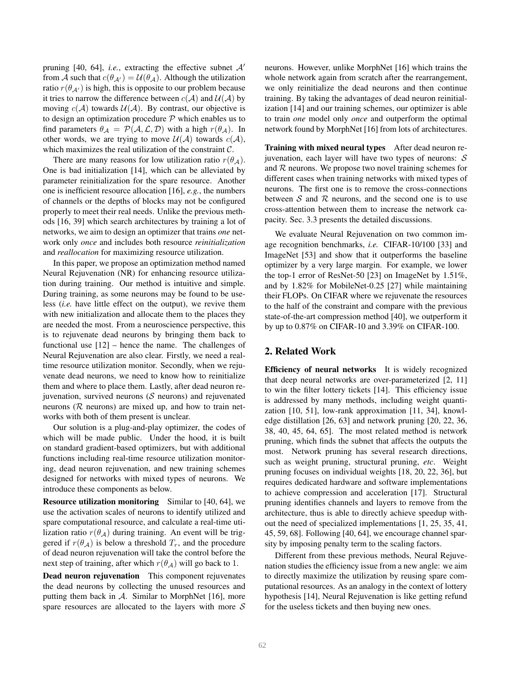pruning [40, 64], *i.e.*, extracting the effective subnet  $A'$ from A such that  $c(\theta_{A'}) = U(\theta_A)$ . Although the utilization ratio  $r(\theta_{A'})$  is high, this is opposite to our problem because it tries to narrow the difference between  $c(\mathcal{A})$  and  $\mathcal{U}(\mathcal{A})$  by moving  $c(A)$  towards  $U(A)$ . By contrast, our objective is to design an optimization procedure  $P$  which enables us to find parameters  $\theta_{A} = \mathcal{P}(A, \mathcal{L}, \mathcal{D})$  with a high  $r(\theta_{A})$ . In other words, we are trying to move  $\mathcal{U}(\mathcal{A})$  towards  $c(\mathcal{A})$ , which maximizes the real utilization of the constraint  $C$ .

There are many reasons for low utilization ratio  $r(\theta_A)$ . One is bad initialization [14], which can be alleviated by parameter reinitialization for the spare resource. Another one is inefficient resource allocation [16], *e.g.*, the numbers of channels or the depths of blocks may not be configured properly to meet their real needs. Unlike the previous methods [16, 39] which search architectures by training a lot of networks, we aim to design an optimizer that trains *one* network only *once* and includes both resource *reinitialization* and *reallocation* for maximizing resource utilization.

In this paper, we propose an optimization method named Neural Rejuvenation (NR) for enhancing resource utilization during training. Our method is intuitive and simple. During training, as some neurons may be found to be useless (*i.e.* have little effect on the output), we revive them with new initialization and allocate them to the places they are needed the most. From a neuroscience perspective, this is to rejuvenate dead neurons by bringing them back to functional use [12] – hence the name. The challenges of Neural Rejuvenation are also clear. Firstly, we need a realtime resource utilization monitor. Secondly, when we rejuvenate dead neurons, we need to know how to reinitialize them and where to place them. Lastly, after dead neuron rejuvenation, survived neurons  $(S$  neurons) and rejuvenated neurons ( $R$  neurons) are mixed up, and how to train networks with both of them present is unclear.

Our solution is a plug-and-play optimizer, the codes of which will be made public. Under the hood, it is built on standard gradient-based optimizers, but with additional functions including real-time resource utilization monitoring, dead neuron rejuvenation, and new training schemes designed for networks with mixed types of neurons. We introduce these components as below.

Resource utilization monitoring Similar to [40, 64], we use the activation scales of neurons to identify utilized and spare computational resource, and calculate a real-time utilization ratio  $r(\theta_A)$  during training. An event will be triggered if  $r(\theta_A)$  is below a threshold  $T_r$ , and the procedure of dead neuron rejuvenation will take the control before the next step of training, after which  $r(\theta_A)$  will go back to 1.

Dead neuron rejuvenation This component rejuvenates the dead neurons by collecting the unused resources and putting them back in  $\mathcal{A}$ . Similar to MorphNet [16], more spare resources are allocated to the layers with more  $S$ 

neurons. However, unlike MorphNet [16] which trains the whole network again from scratch after the rearrangement, we only reinitialize the dead neurons and then continue training. By taking the advantages of dead neuron reinitialization [14] and our training schemes, our optimizer is able to train *one* model only *once* and outperform the optimal network found by MorphNet [16] from lots of architectures.

Training with mixed neural types After dead neuron rejuvenation, each layer will have two types of neurons:  $S$ and  $R$  neurons. We propose two novel training schemes for different cases when training networks with mixed types of neurons. The first one is to remove the cross-connections between  $S$  and  $R$  neurons, and the second one is to use cross-attention between them to increase the network capacity. Sec. 3.3 presents the detailed discussions.

We evaluate Neural Rejuvenation on two common image recognition benchmarks, *i.e.* CIFAR-10/100 [33] and ImageNet [53] and show that it outperforms the baseline optimizer by a very large margin. For example, we lower the top-1 error of ResNet-50 [23] on ImageNet by 1.51%, and by 1.82% for MobileNet-0.25 [27] while maintaining their FLOPs. On CIFAR where we rejuvenate the resources to the half of the constraint and compare with the previous state-of-the-art compression method [40], we outperform it by up to 0.87% on CIFAR-10 and 3.39% on CIFAR-100.

# 2. Related Work

Efficiency of neural networks It is widely recognized that deep neural networks are over-parameterized [2, 11] to win the filter lottery tickets [14]. This efficiency issue is addressed by many methods, including weight quantization [10, 51], low-rank approximation [11, 34], knowledge distillation [26, 63] and network pruning [20, 22, 36, 38, 40, 45, 64, 65]. The most related method is network pruning, which finds the subnet that affects the outputs the most. Network pruning has several research directions, such as weight pruning, structural pruning, *etc*. Weight pruning focuses on individual weights [18, 20, 22, 36], but requires dedicated hardware and software implementations to achieve compression and acceleration [17]. Structural pruning identifies channels and layers to remove from the architecture, thus is able to directly achieve speedup without the need of specialized implementations [1, 25, 35, 41, 45, 59, 68]. Following [40, 64], we encourage channel sparsity by imposing penalty term to the scaling factors.

Different from these previous methods, Neural Rejuvenation studies the efficiency issue from a new angle: we aim to directly maximize the utilization by reusing spare computational resources. As an analogy in the context of lottery hypothesis [14], Neural Rejuvenation is like getting refund for the useless tickets and then buying new ones.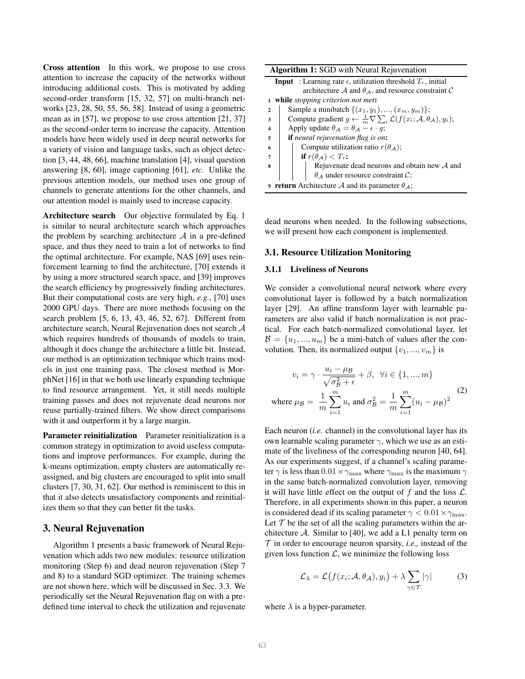Cross attention In this work, we propose to use cross attention to increase the capacity of the networks without introducing additional costs. This is motivated by adding second-order transform [15, 32, 57] on multi-branch networks [23, 28, 50, 55, 56, 58]. Instead of using a geometric mean as in [57], we propose to use cross attention [21, 37] as the second-order term to increase the capacity. Attention models have been widely used in deep neural networks for a variety of vision and language tasks, such as object detection [3, 44, 48, 66], machine translation [4], visual question answering [8, 60], image captioning [61], *etc*. Unlike the previous attention models, our method uses one group of channels to generate attentions for the other channels, and our attention model is mainly used to increase capacity.

Architecture search Our objective formulated by Eq. 1 is similar to neural architecture search which approaches the problem by searching architecture  $A$  in a pre-defined space, and thus they need to train a lot of networks to find the optimal architecture. For example, NAS [69] uses reinforcement learning to find the architecture, [70] extends it by using a more structured search space, and [39] improves the search efficiency by progressively finding architectures. But their computational costs are very high, *e.g.*, [70] uses 2000 GPU days. There are more methods focusing on the search problem [5, 6, 13, 43, 46, 52, 67]. Different from architecture search, Neural Rejuvenation does not search A which requires hundreds of thousands of models to train, although it does change the architecture a little bit. Instead, our method is an optimization technique which trains models in just one training pass. The closest method is MorphNet [16] in that we both use linearly expanding technique to find resource arrangement. Yet, it still needs multiple training passes and does not rejuvenate dead neurons nor reuse partially-trained filters. We show direct comparisons with it and outperform it by a large margin.

Parameter reinitialization Parameter reinitialization is a common strategy in optimization to avoid useless computations and improve performances. For example, during the k-means optimization, empty clusters are automatically reassigned, and big clusters are encouraged to split into small clusters [7, 30, 31, 62]. Our method is reminiscent to this in that it also detects unsatisfactory components and reinitializes them so that they can better fit the tasks.

# 3. Neural Rejuvenation

Algorithm 1 presents a basic framework of Neural Rejuvenation which adds two new modules: resource utilization monitoring (Step 6) and dead neuron rejuvenation (Step 7 and 8) to a standard SGD optimizer. The training schemes are not shown here, which will be discussed in Sec. 3.3. We periodically set the Neural Rejuvenation flag on with a predefined time interval to check the utilization and rejuvenate

|              | <b>Algorithm 1:</b> SGD with Neural Rejuvenation                                                 |  |  |  |  |  |  |  |
|--------------|--------------------------------------------------------------------------------------------------|--|--|--|--|--|--|--|
|              | <b>Input</b> : Learning rate $\epsilon$ , utilization threshold $T_r$ , initial                  |  |  |  |  |  |  |  |
|              | architecture A and $\theta_A$ , and resource constraint C                                        |  |  |  |  |  |  |  |
| 1            | while <i>stopping criterion not met</i> :                                                        |  |  |  |  |  |  |  |
| $\mathbf{2}$ | Sample a minibatch $\{(x_1, y_1), , (x_m, y_m)\};$                                               |  |  |  |  |  |  |  |
| 3            | Compute gradient $g \leftarrow \frac{1}{m} \nabla \sum_i \mathcal{L}(f(x_i; A, \theta_A), y_i);$ |  |  |  |  |  |  |  |
| 4            | Apply update $\theta_{A} = \theta_{A} - \epsilon \cdot g$ ;                                      |  |  |  |  |  |  |  |
| 5            | <b>if</b> neural rejuvenation flag is on:                                                        |  |  |  |  |  |  |  |
| 6            | Compute utilization ratio $r(\theta_{\mathcal{A}})$ ;                                            |  |  |  |  |  |  |  |
| 7            | if $r(\theta_A) < T_r$ :                                                                         |  |  |  |  |  |  |  |
| 8            | Rejuvenate dead neurons and obtain new $A$ and                                                   |  |  |  |  |  |  |  |
|              | $\theta_{\mathcal{A}}$ under resource constraint C;                                              |  |  |  |  |  |  |  |
|              | <b>9 return</b> Architecture A and its parameter $\theta_{\mathcal{A}}$ ;                        |  |  |  |  |  |  |  |

dead neurons when needed. In the following subsections, we will present how each component is implemented.

## 3.1. Resource Utilization Monitoring

### 3.1.1 Liveliness of Neurons

We consider a convolutional neural network where every convolutional layer is followed by a batch normalization layer [29]. An affine transform layer with learnable parameters are also valid if batch normalization is not practical. For each batch-normalized convolutional layer, let  $\mathcal{B} = \{u_1, ..., u_m\}$  be a mini-batch of values after the convolution. Then, its normalized output  $\{v_1, ..., v_m\}$  is

$$
v_i = \gamma \cdot \frac{u_i - \mu_B}{\sqrt{\sigma_B^2 + \epsilon}} + \beta, \ \forall i \in \{1, ..., m\}
$$
  
where  $\mu_B = \frac{1}{m} \sum_{i=1}^m u_i$  and  $\sigma_B^2 = \frac{1}{m} \sum_{i=1}^m (u_i - \mu_B)^2$  (2)

Each neuron (*i.e.* channel) in the convolutional layer has its own learnable scaling parameter  $\gamma$ , which we use as an estimate of the liveliness of the corresponding neuron [40, 64]. As our experiments suggest, if a channel's scaling parameter  $\gamma$  is less than  $0.01 \times \gamma_{\text{max}}$  where  $\gamma_{\text{max}}$  is the maximum  $\gamma$ in the same batch-normalized convolution layer, removing it will have little effect on the output of f and the loss  $\mathcal{L}$ . Therefore, in all experiments shown in this paper, a neuron is considered dead if its scaling parameter  $\gamma < 0.01 \times \gamma_{\text{max}}$ . Let  $T$  be the set of all the scaling parameters within the architecture  $\mathcal{A}$ . Similar to [40], we add a L1 penalty term on  $\mathcal T$  in order to encourage neuron sparsity, *i.e.*, instead of the given loss function  $\mathcal{L}$ , we minimize the following loss

$$
\mathcal{L}_{\lambda} = \mathcal{L}\big(f(x_i; \mathcal{A}, \theta_{\mathcal{A}}), y_i\big) + \lambda \sum_{\gamma \in \mathcal{T}} |\gamma| \tag{3}
$$

where  $\lambda$  is a hyper-parameter.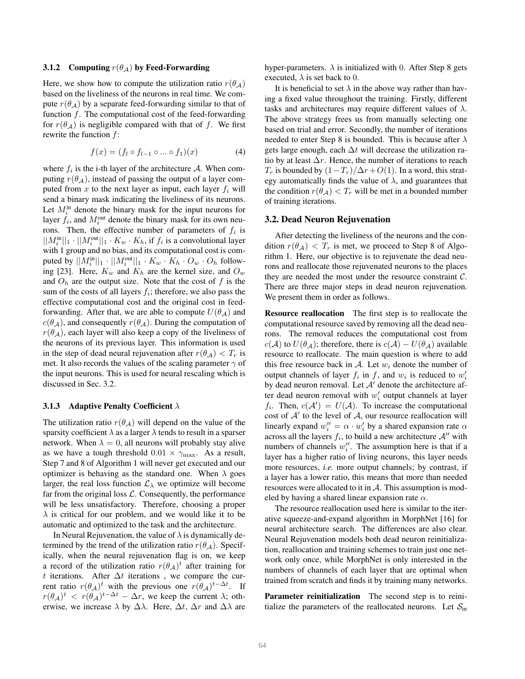#### 3.1.2 Computing  $r(\theta_A)$  by Feed-Forwarding

Here, we show how to compute the utilization ratio  $r(\theta_A)$ based on the liveliness of the neurons in real time. We compute  $r(\theta_A)$  by a separate feed-forwarding similar to that of function  $f$ . The computational cost of the feed-forwarding for  $r(\theta_A)$  is negligible compared with that of f. We first rewrite the function  $f$ :

$$
f(x) = (f_l \circ f_{l-1} \circ \dots \circ f_1)(x) \tag{4}
$$

where  $f_i$  is the i-th layer of the architecture A. When computing  $r(\theta_{\mathcal{A}})$ , instead of passing the output of a layer computed from x to the next layer as input, each layer  $f_i$  will send a binary mask indicating the liveliness of its neurons. Let  $M_i^{\text{in}}$  denote the binary mask for the input neurons for layer  $f_i$ , and  $M_i^{\text{out}}$  denote the binary mask for its own neurons. Then, the effective number of parameters of  $f_i$  is  $||M_i^{\text{in}}||_1 \cdot ||M_i^{\text{out}}||_1 \cdot K_w \cdot K_h$ , if  $f_i$  is a convolutional layer with 1 group and no bias, and its computational cost is computed by  $||M_i^{\text{in}}||_1 \cdot ||M_i^{\text{out}}||_1 \cdot K_w \cdot K_h \cdot O_w \cdot O_h$  following [23]. Here,  $K_w$  and  $K_h$  are the kernel size, and  $O_w$ and  $O_h$  are the output size. Note that the cost of f is the sum of the costs of all layers  $f_i$ ; therefore, we also pass the effective computational cost and the original cost in feedforwarding. After that, we are able to compute  $U(\theta_{A})$  and  $c(\theta_{\mathcal{A}})$ , and consequently  $r(\theta_{\mathcal{A}})$ . During the computation of  $r(\theta_A)$ , each layer will also keep a copy of the liveliness of the neurons of its previous layer. This information is used in the step of dead neural rejuvenation after  $r(\theta_A) < T_r$  is met. It also records the values of the scaling parameter  $\gamma$  of the input neurons. This is used for neural rescaling which is discussed in Sec. 3.2.

# 3.1.3 Adaptive Penalty Coefficient  $\lambda$

The utilization ratio  $r(\theta_A)$  will depend on the value of the sparsity coefficient  $\lambda$  as a larger  $\lambda$  tends to result in a sparser network. When  $\lambda = 0$ , all neurons will probably stay alive as we have a tough threshold  $0.01 \times \gamma_{\text{max}}$ . As a result, Step 7 and 8 of Algorithm 1 will never get executed and our optimizer is behaving as the standard one. When  $\lambda$  goes larger, the real loss function  $\mathcal{L}_{\lambda}$  we optimize will become far from the original loss  $\mathcal{L}$ . Consequently, the performance will be less unsatisfactory. Therefore, choosing a proper  $\lambda$  is critical for our problem, and we would like it to be automatic and optimized to the task and the architecture.

In Neural Rejuvenation, the value of  $\lambda$  is dynamically determined by the trend of the utilization ratio  $r(\theta_A)$ . Specifically, when the neural rejuvenation flag is on, we keep a record of the utilization ratio  $r(\theta_{\mathcal{A}})^t$  after training for t iterations. After  $\Delta t$  iterations, we compare the current ratio  $r(\theta_{\mathcal{A}})^t$  with the previous one  $r(\theta_{\mathcal{A}})^{t-\Delta t}$ . If  $r(\theta_{\mathcal{A}})^t$  <  $r(\theta_{\mathcal{A}})^{t-\Delta t}$  –  $\Delta r$ , we keep the current  $\lambda$ ; otherwise, we increase  $\lambda$  by  $\Delta\lambda$ . Here,  $\Delta t$ ,  $\Delta r$  and  $\Delta\lambda$  are hyper-parameters.  $\lambda$  is initialized with 0. After Step 8 gets executed,  $\lambda$  is set back to 0.

It is beneficial to set  $\lambda$  in the above way rather than having a fixed value throughout the training. Firstly, different tasks and architectures may require different values of  $\lambda$ . The above strategy frees us from manually selecting one based on trial and error. Secondly, the number of iterations needed to enter Step 8 is bounded. This is because after  $\lambda$ gets large enough, each  $\Delta t$  will decrease the utilization ratio by at least  $\Delta r$ . Hence, the number of iterations to reach  $T_r$  is bounded by  $(1-T_r)/\Delta r+O(1)$ . In a word, this strategy automatically finds the value of  $\lambda$ , and guarantees that the condition  $r(\theta_A) < T_r$  will be met in a bounded number of training iterations.

#### 3.2. Dead Neuron Rejuvenation

After detecting the liveliness of the neurons and the condition  $r(\theta_A) < T_r$  is met, we proceed to Step 8 of Algorithm 1. Here, our objective is to rejuvenate the dead neurons and reallocate those rejuvenated neurons to the places they are needed the most under the resource constraint  $C$ . There are three major steps in dead neuron rejuvenation. We present them in order as follows.

Resource reallocation The first step is to reallocate the computational resource saved by removing all the dead neurons. The removal reduces the computational cost from  $c(\mathcal{A})$  to  $U(\theta_{\mathcal{A}})$ ; therefore, there is  $c(\mathcal{A}) - U(\theta_{\mathcal{A}})$  available resource to reallocate. The main question is where to add this free resource back in A. Let  $w_i$  denote the number of output channels of layer  $f_i$  in  $f$ , and  $w_i$  is reduced to  $w'_i$ by dead neuron removal. Let  $A'$  denote the architecture after dead neuron removal with  $w_i'$  output channels at layer  $f_i$ . Then,  $c(\mathcal{A}') = U(\mathcal{A})$ . To increase the computational cost of  $A'$  to the level of  $A$ , our resource reallocation will linearly expand  $w''_i = \alpha \cdot w'_i$  by a shared expansion rate  $\alpha$ across all the layers  $f_i$ , to build a new architecture  $A''$  with numbers of channels  $w''_i$ . The assumption here is that if a layer has a higher ratio of living neurons, this layer needs more resources, *i.e.* more output channels; by contrast, if a layer has a lower ratio, this means that more than needed resources were allocated to it in  $A$ . This assumption is modeled by having a shared linear expansion rate  $\alpha$ .

The resource reallocation used here is similar to the iterative squeeze-and-expand algorithm in MorphNet [16] for neural architecture search. The differences are also clear. Neural Rejuvenation models both dead neuron reinitialization, reallocation and training schemes to train just one network only once, while MorphNet is only interested in the numbers of channels of each layer that are optimal when trained from scratch and finds it by training many networks.

Parameter reinitialization The second step is to reinitialize the parameters of the reallocated neurons. Let  $S_{\text{in}}$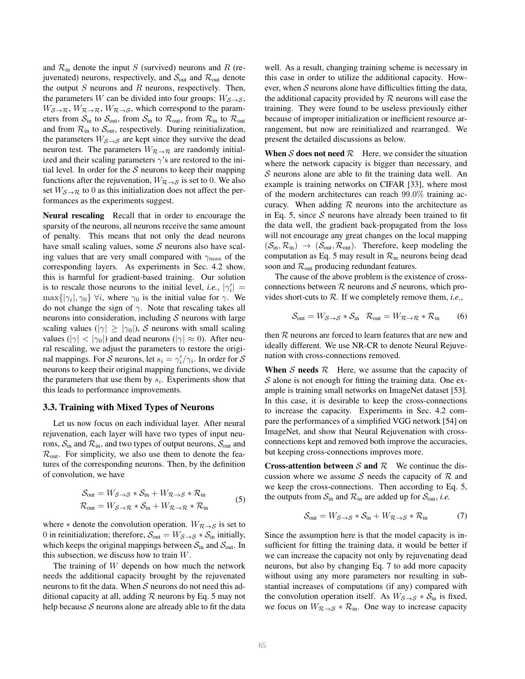and  $\mathcal{R}_{\text{in}}$  denote the input S (survived) neurons and R (rejuvenated) neurons, respectively, and  $S_{\text{out}}$  and  $\mathcal{R}_{\text{out}}$  denote the output  $S$  neurons and  $R$  neurons, respectively. Then, the parameters W can be divided into four groups:  $W_{\mathcal{S}\rightarrow\mathcal{S}}$ ,  $W_{\mathcal{S}\rightarrow\mathcal{R}}, W_{\mathcal{R}\rightarrow\mathcal{R}}, W_{\mathcal{R}\rightarrow\mathcal{S}}$ , which correspond to the parameters from  $S_{\text{in}}$  to  $S_{\text{out}}$ , from  $S_{\text{in}}$  to  $\mathcal{R}_{\text{out}}$ , from  $\mathcal{R}_{\text{in}}$  to  $\mathcal{R}_{\text{out}}$ and from  $\mathcal{R}_{\text{in}}$  to  $\mathcal{S}_{\text{out}}$ , respectively. During reinitialization, the parameters  $W_{\mathcal{S}\rightarrow\mathcal{S}}$  are kept since they survive the dead neuron test. The parameters  $W_{\mathcal{R}\rightarrow\mathcal{R}}$  are randomly initialized and their scaling parameters  $\gamma$ 's are restored to the initial level. In order for the  $S$  neurons to keep their mapping functions after the rejuvenation,  $W_{\mathcal{R}\rightarrow\mathcal{S}}$  is set to 0. We also set  $W_{\mathcal{S}\rightarrow\mathcal{R}}$  to 0 as this initialization does not affect the performances as the experiments suggest.

Neural rescaling Recall that in order to encourage the sparsity of the neurons, all neurons receive the same amount of penalty. This means that not only the dead neurons have small scaling values, some  $S$  neurons also have scaling values that are very small compared with  $\gamma_{\text{max}}$  of the corresponding layers. As experiments in Sec. 4.2 show, this is harmful for gradient-based training. Our solution is to rescale those neurons to the initial level, *i.e.*,  $|\gamma'_i|$  =  $\max\{|\gamma_i|, \gamma_0\}$   $\forall i$ , where  $\gamma_0$  is the initial value for  $\gamma$ . We do not change the sign of  $\gamma$ . Note that rescaling takes all neurons into consideration, including  $S$  neurons with large scaling values ( $|\gamma| \ge |\gamma_0|$ ), S neurons with small scaling values ( $|\gamma| < |\gamma_0|$ ) and dead neurons ( $|\gamma| \approx 0$ ). After neural rescaling, we adjust the parameters to restore the original mappings. For S neurons, let  $s_i = \gamma'_i/\gamma_i$ . In order for S neurons to keep their original mapping functions, we divide the parameters that use them by  $s_i$ . Experiments show that this leads to performance improvements.

#### 3.3. Training with Mixed Types of Neurons

Let us now focus on each individual layer. After neural rejuvenation, each layer will have two types of input neurons,  $S_{\text{in}}$  and  $\mathcal{R}_{\text{in}}$ , and two types of output neurons,  $S_{\text{out}}$  and  $\mathcal{R}_{\text{out}}$ . For simplicity, we also use them to denote the features of the corresponding neurons. Then, by the definition of convolution, we have

$$
S_{\text{out}} = W_{S \to S} * S_{\text{in}} + W_{\mathcal{R} \to S} * \mathcal{R}_{\text{in}}
$$
  

$$
\mathcal{R}_{\text{out}} = W_{S \to \mathcal{R}} * S_{\text{in}} + W_{\mathcal{R} \to \mathcal{R}} * \mathcal{R}_{\text{in}}
$$
 (5)

where  $*$  denote the convolution operation.  $W_{\mathcal{R}\rightarrow\mathcal{S}}$  is set to 0 in reinitialization; therefore,  $S_{\text{out}} = W_{S \to S} * S_{\text{in}}$  initially, which keeps the original mappings between  $S_{\text{in}}$  and  $S_{\text{out}}$ . In this subsection, we discuss how to train  $W$ .

The training of W depends on how much the network needs the additional capacity brought by the rejuvenated neurons to fit the data. When  $S$  neurons do not need this additional capacity at all, adding  $R$  neurons by Eq. 5 may not help because  $S$  neurons alone are already able to fit the data

well. As a result, changing training scheme is necessary in this case in order to utilize the additional capacity. However, when  $S$  neurons alone have difficulties fitting the data, the additional capacity provided by  $R$  neurons will ease the training. They were found to be useless previously either because of improper initialization or inefficient resource arrangement, but now are reinitialized and rearranged. We present the detailed discussions as below.

When S does not need  $\mathcal{R}$  Here, we consider the situation where the network capacity is bigger than necessary, and  $S$  neurons alone are able to fit the training data well. An example is training networks on CIFAR [33], where most of the modern architectures can reach 99.0% training accuracy. When adding  $R$  neurons into the architecture as in Eq. 5, since  $S$  neurons have already been trained to fit the data well, the gradient back-propagated from the loss will not encourage any great changes on the local mapping  $(\mathcal{S}_{\text{in}}, \mathcal{R}_{\text{in}}) \rightarrow (\mathcal{S}_{\text{out}}, \mathcal{R}_{\text{out}})$ . Therefore, keep modeling the computation as Eq. 5 may result in  $\mathcal{R}_{in}$  neurons being dead soon and  $\mathcal{R}_{\text{out}}$  producing redundant features.

The cause of the above problem is the existence of crossconnections between  $R$  neurons and  $S$  neurons, which provides short-cuts to R. If we completely remove them, *i.e.*,

$$
S_{\text{out}} = W_{S \to S} * S_{\text{in}} \quad \mathcal{R}_{\text{out}} = W_{\mathcal{R} \to \mathcal{R}} * \mathcal{R}_{\text{in}} \tag{6}
$$

then  $R$  neurons are forced to learn features that are new and ideally different. We use NR-CR to denote Neural Rejuvenation with cross-connections removed.

**When** S needs  $\mathcal{R}$  Here, we assume that the capacity of  $S$  alone is not enough for fitting the training data. One example is training small networks on ImageNet dataset [53]. In this case, it is desirable to keep the cross-connections to increase the capacity. Experiments in Sec. 4.2 compare the performances of a simplified VGG network [54] on ImageNet, and show that Neural Rejuvenation with crossconnections kept and removed both improve the accuracies, but keeping cross-connections improves more.

**Cross-attention between S and R** We continue the discussion where we assume S needs the capacity of  $R$  and we keep the cross-connections. Then according to Eq. 5, the outputs from  $S_{\text{in}}$  and  $\mathcal{R}_{\text{in}}$  are added up for  $S_{\text{out}}$ , *i.e.* 

$$
S_{\text{out}} = W_{S \to S} * S_{\text{in}} + W_{\mathcal{R} \to S} * \mathcal{R}_{\text{in}} \tag{7}
$$

Since the assumption here is that the model capacity is insufficient for fitting the training data, it would be better if we can increase the capacity not only by rejuvenating dead neurons, but also by changing Eq. 7 to add more capacity without using any more parameters nor resulting in substantial increases of computations (if any) compared with the convolution operation itself. As  $W_{\mathcal{S}\rightarrow\mathcal{S}}*\mathcal{S}_{\text{in}}$  is fixed, we focus on  $W_{\mathcal{R}\rightarrow\mathcal{S}}*\mathcal{R}_{\text{in}}$ . One way to increase capacity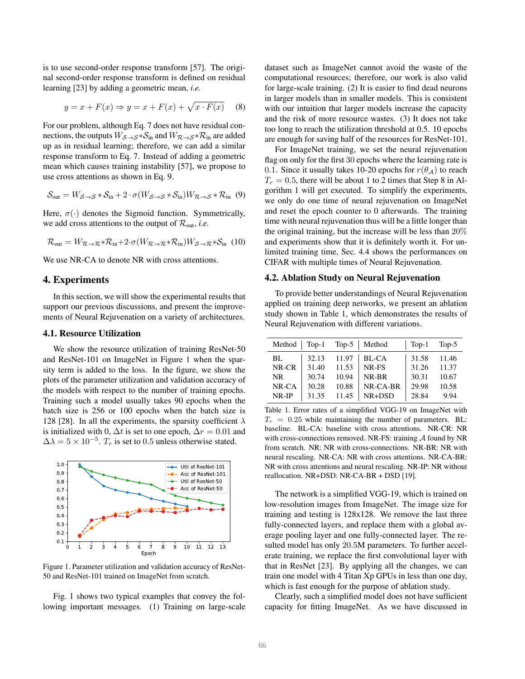is to use second-order response transform [57]. The original second-order response transform is defined on residual learning [23] by adding a geometric mean, *i.e.*

$$
y = x + F(x) \Rightarrow y = x + F(x) + \sqrt{x \cdot F(x)}
$$
 (8)

For our problem, although Eq. 7 does not have residual connections, the outputs  $W_{\mathcal{S}\rightarrow\mathcal{S}}*\mathcal{S}_{\text{in}}$  and  $W_{\mathcal{R}\rightarrow\mathcal{S}}*\mathcal{R}_{\text{in}}$  are added up as in residual learning; therefore, we can add a similar response transform to Eq. 7. Instead of adding a geometric mean which causes training instability [57], we propose to use cross attentions as shown in Eq. 9.

$$
S_{\text{out}} = W_{S \to S} * S_{\text{in}} + 2 \cdot \sigma(W_{S \to S} * S_{\text{in}}) W_{\mathcal{R} \to S} * \mathcal{R}_{\text{in}} \tag{9}
$$

Here,  $\sigma(\cdot)$  denotes the Sigmoid function. Symmetrically, we add cross attentions to the output of  $\mathcal{R}_{\text{out}}$ , *i.e.* 

$$
\mathcal{R}_{out} = W_{\mathcal{R}\to\mathcal{R}} * \mathcal{R}_{in} + 2 \cdot \sigma(W_{\mathcal{R}\to\mathcal{R}} * \mathcal{R}_{in})W_{\mathcal{S}\to\mathcal{R}} * \mathcal{S}_{in}
$$
 (10)

We use NR-CA to denote NR with cross attentions.

#### 4. Experiments

In this section, we will show the experimental results that support our previous discussions, and present the improvements of Neural Rejuvenation on a variety of architectures.

#### 4.1. Resource Utilization

We show the resource utilization of training ResNet-50 and ResNet-101 on ImageNet in Figure 1 when the sparsity term is added to the loss. In the figure, we show the plots of the parameter utilization and validation accuracy of the models with respect to the number of training epochs. Training such a model usually takes 90 epochs when the batch size is 256 or 100 epochs when the batch size is 128 [28]. In all the experiments, the sparsity coefficient  $\lambda$ is initialized with 0,  $\Delta t$  is set to one epoch,  $\Delta r = 0.01$  and  $\Delta \lambda = 5 \times 10^{-5}$ .  $T_r$  is set to 0.5 unless otherwise stated.



Figure 1. Parameter utilization and validation accuracy of ResNet-50 and ResNet-101 trained on ImageNet from scratch.

Fig. 1 shows two typical examples that convey the following important messages. (1) Training on large-scale dataset such as ImageNet cannot avoid the waste of the computational resources; therefore, our work is also valid for large-scale training. (2) It is easier to find dead neurons in larger models than in smaller models. This is consistent with our intuition that larger models increase the capacity and the risk of more resource wastes. (3) It does not take too long to reach the utilization threshold at 0.5. 10 epochs are enough for saving half of the resources for ResNet-101.

For ImageNet training, we set the neural rejuvenation flag on only for the first 30 epochs where the learning rate is 0.1. Since it usually takes 10-20 epochs for  $r(\theta_A)$  to reach  $T_r = 0.5$ , there will be about 1 to 2 times that Step 8 in Algorithm 1 will get executed. To simplify the experiments, we only do one time of neural rejuvenation on ImageNet and reset the epoch counter to 0 afterwards. The training time with neural rejuvenation thus will be a little longer than the original training, but the increase will be less than 20% and experiments show that it is definitely worth it. For unlimited training time, Sec. 4.4 shows the performances on CIFAR with multiple times of Neural Rejuvenation.

#### 4.2. Ablation Study on Neural Rejuvenation

To provide better understandings of Neural Rejuvenation applied on training deep networks, we present an ablation study shown in Table 1, which demonstrates the results of Neural Rejuvenation with different variations.

| Method $\vert$ Top-1 |       |       | Top-5   Method        | $Top-1$ Top-5 |       |
|----------------------|-------|-------|-----------------------|---------------|-------|
| BL.                  |       |       | $32.13$ 11.97   BL-CA | 31.58         | 11.46 |
| NR-CR                | 31.40 | 11.53 | NR-FS                 | 31.26         | 11.37 |
| NR.                  | 30.74 | 10.94 | NR-BR                 | 30.31         | 10.67 |
| $NR$ - $CA$          | 30.28 | 10.88 | NR-CA-BR              | 29.98         | 10.58 |
| $NR$ -IP             | 31.35 | 11.45 | $NR+DSD$              | 28.84         | 9.94  |

Table 1. Error rates of a simplified VGG-19 on ImageNet with  $T_r = 0.25$  while maintaining the number of parameters. BL: baseline. BL-CA: baseline with cross attentions. NR-CR: NR with cross-connections removed. NR-FS: training  $A$  found by NR from scratch. NR: NR with cross-connections. NR-BR: NR with neural rescaling. NR-CA: NR with cross attentions. NR-CA-BR: NR with cross attentions and neural rescaling. NR-IP: NR without reallocation. NR+DSD: NR-CA-BR + DSD [19].

The network is a simplified VGG-19, which is trained on low-resolution images from ImageNet. The image size for training and testing is 128x128. We remove the last three fully-connected layers, and replace them with a global average pooling layer and one fully-connected layer. The resulted model has only 20.5M parameters. To further accelerate training, we replace the first convolutional layer with that in ResNet [23]. By applying all the changes, we can train one model with 4 Titan Xp GPUs in less than one day, which is fast enough for the purpose of ablation study.

Clearly, such a simplified model does not have sufficient capacity for fitting ImageNet. As we have discussed in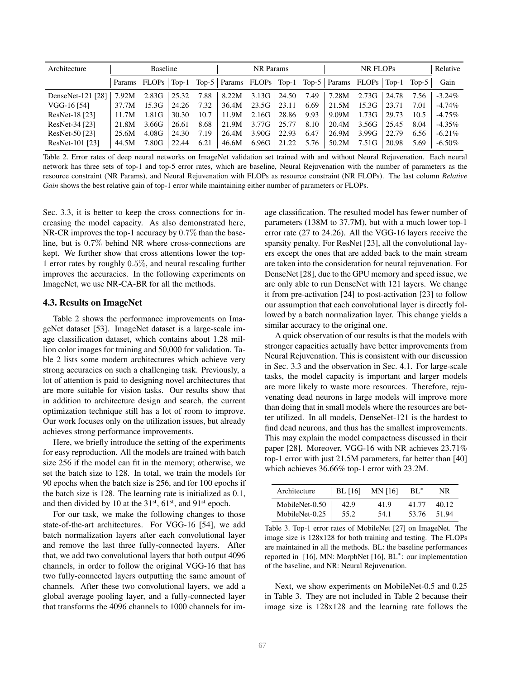| Architecture      | <b>Baseline</b> |                    |       | NR Params |                                                                 |             | NR FLOPs |      |       | Relative |       |      |           |
|-------------------|-----------------|--------------------|-------|-----------|-----------------------------------------------------------------|-------------|----------|------|-------|----------|-------|------|-----------|
|                   |                 | Params FLOPs Top-1 |       |           | Top-5   Params FLOPs   Top-1 Top-5   Params FLOPs   Top-1 Top-5 |             |          |      |       |          |       |      | Gain      |
| DenseNet-121 [28] | 7.92M           | 2.83G              | 25.32 | 7.88      |                                                                 | 8.22M 3.13G | 24.50    | 7.49 | 7.28M | 2.73G    | 24.78 | 7.56 | $-3.24\%$ |
| VGG-16 [54]       | 37.7M           | 15.3G              | 24.26 | 7.32      | 36.4M                                                           | 23.5G       | 23.11    | 6.69 | 21.5M | 15.3G    | 23.71 | 7.01 | $-4.74\%$ |
| ResNet-18 [23]    | 11.7M           | 1.81G              | 30.30 | 10.7      | 11.9M                                                           | 2.16G       | 28.86    | 9.93 | 9.09M | 1.73G    | 29.73 | 10.5 | $-4.75\%$ |
| ResNet-34 [23]    | 21.8M           | 3.66G              | 26.61 | 8.68      | 21.9M                                                           | 3.77G       | 25.77    | 8.10 | 20.4M | 3.56G    | 25.45 | 8.04 | $-4.35\%$ |
| ResNet-50 [23]    | 25.6M           | 4.08G              | 24.30 | 7.19      | 26.4M                                                           | 3.90G       | 22.93    | 6.47 | 26.9M | 3.99G    | 22.79 | 6.56 | $-6.21\%$ |
| ResNet-101 [23]   | 44.5M           | 7.80G              | 22.44 | 6.21      | 46.6M                                                           | 6.96G       | 21.22    | 5.76 | 50.2M | 7.51G    | 20.98 | 5.69 | $-6.50\%$ |

Table 2. Error rates of deep neural networks on ImageNet validation set trained with and without Neural Rejuvenation. Each neural network has three sets of top-1 and top-5 error rates, which are baseline, Neural Rejuvenation with the number of parameters as the resource constraint (NR Params), and Neural Rejuvenation with FLOPs as resource constraint (NR FLOPs). The last column *Relative Gain* shows the best relative gain of top-1 error while maintaining either number of parameters or FLOPs.

Sec. 3.3, it is better to keep the cross connections for increasing the model capacity. As also demonstrated here, NR-CR improves the top-1 accuracy by 0.7% than the baseline, but is 0.7% behind NR where cross-connections are kept. We further show that cross attentions lower the top-1 error rates by roughly 0.5%, and neural rescaling further improves the accuracies. In the following experiments on ImageNet, we use NR-CA-BR for all the methods.

#### 4.3. Results on ImageNet

Table 2 shows the performance improvements on ImageNet dataset [53]. ImageNet dataset is a large-scale image classification dataset, which contains about 1.28 million color images for training and 50,000 for validation. Table 2 lists some modern architectures which achieve very strong accuracies on such a challenging task. Previously, a lot of attention is paid to designing novel architectures that are more suitable for vision tasks. Our results show that in addition to architecture design and search, the current optimization technique still has a lot of room to improve. Our work focuses only on the utilization issues, but already achieves strong performance improvements.

Here, we briefly introduce the setting of the experiments for easy reproduction. All the models are trained with batch size 256 if the model can fit in the memory; otherwise, we set the batch size to 128. In total, we train the models for 90 epochs when the batch size is 256, and for 100 epochs if the batch size is 128. The learning rate is initialized as 0.1, and then divided by 10 at the  $31<sup>st</sup>$ , 61<sup>st</sup>, and 91<sup>st</sup> epoch.

For our task, we make the following changes to those state-of-the-art architectures. For VGG-16 [54], we add batch normalization layers after each convolutional layer and remove the last three fully-connected layers. After that, we add two convolutional layers that both output 4096 channels, in order to follow the original VGG-16 that has two fully-connected layers outputting the same amount of channels. After these two convolutional layers, we add a global average pooling layer, and a fully-connected layer that transforms the 4096 channels to 1000 channels for image classification. The resulted model has fewer number of parameters (138M to 37.7M), but with a much lower top-1 error rate (27 to 24.26). All the VGG-16 layers receive the sparsity penalty. For ResNet [23], all the convolutional layers except the ones that are added back to the main stream are taken into the consideration for neural rejuvenation. For DenseNet [28], due to the GPU memory and speed issue, we are only able to run DenseNet with 121 layers. We change it from pre-activation [24] to post-activation [23] to follow our assumption that each convolutional layer is directly followed by a batch normalization layer. This change yields a similar accuracy to the original one.

A quick observation of our results is that the models with stronger capacities actually have better improvements from Neural Rejuvenation. This is consistent with our discussion in Sec. 3.3 and the observation in Sec. 4.1. For large-scale tasks, the model capacity is important and larger models are more likely to waste more resources. Therefore, rejuvenating dead neurons in large models will improve more than doing that in small models where the resources are better utilized. In all models, DenseNet-121 is the hardest to find dead neurons, and thus has the smallest improvements. This may explain the model compactness discussed in their paper [28]. Moreover, VGG-16 with NR achieves 23.71% top-1 error with just 21.5M parameters, far better than [40] which achieves 36.66% top-1 error with 23.2M.

| Architecture                     |      | BL [16] MN [16] | - BL* | NR.   |
|----------------------------------|------|-----------------|-------|-------|
| MobileNet-0.50<br>MobileNet-0.25 | 42.9 | 41.9            | 41.77 | 40.12 |
|                                  | 55.2 | 54.1            | 53.76 | 51.94 |

Table 3. Top-1 error rates of MobileNet [27] on ImageNet. The image size is 128x128 for both training and testing. The FLOPs are maintained in all the methods. BL: the baseline performances reported in [16], MN: MorphNet [16], BL<sup>∗</sup> : our implementation of the baseline, and NR: Neural Rejuvenation.

Next, we show experiments on MobileNet-0.5 and 0.25 in Table 3. They are not included in Table 2 because their image size is 128x128 and the learning rate follows the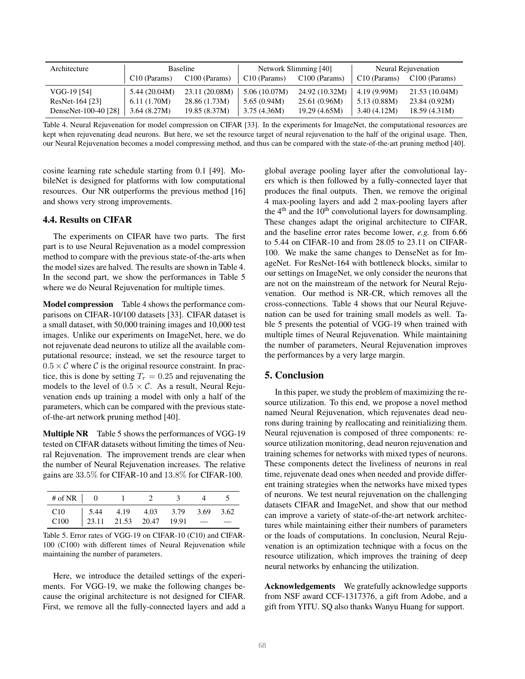| Architecture         |                          | <b>Baseline</b> |                          | Network Slimming [40] | Neural Rejuvenation      |                 |  |
|----------------------|--------------------------|-----------------|--------------------------|-----------------------|--------------------------|-----------------|--|
|                      | C <sub>10</sub> (Params) | $C100$ (Params) | C <sub>10</sub> (Params) | $C100$ (Params)       | C <sub>10</sub> (Params) | $C100$ (Params) |  |
| VGG-19 [54]          | 5.44(20.04M)             | 23.11 (20.08M)  | 5.06(10.07M)             | 24.92 (10.32M)        | 4.19(9.99M)              | 21.53 (10.04M)  |  |
| ResNet-164 [23]      | 6.11(1.70M)              | 28.86 (1.73M)   | 5.65(0.94M)              | 25.61(0.96M)          | 5.13(0.88M)              | 23.84(0.92M)    |  |
| DenseNet-100-40 [28] | 3.64(8.27M)              | 19.85(8.37M)    | 3.75(4.36M)              | 19.29 (4.65M)         | 3.40(4.12M)              | 18.59(4.31M)    |  |

Table 4. Neural Rejuvenation for model compression on CIFAR [33]. In the experiments for ImageNet, the computational resources are kept when rejuvenating dead neurons. But here, we set the resource target of neural rejuvenation to the half of the original usage. Then, our Neural Rejuvenation becomes a model compressing method, and thus can be compared with the state-of-the-art pruning method [40].

cosine learning rate schedule starting from 0.1 [49]. MobileNet is designed for platforms with low computational resources. Our NR outperforms the previous method [16] and shows very strong improvements.

## 4.4. Results on CIFAR

The experiments on CIFAR have two parts. The first part is to use Neural Rejuvenation as a model compression method to compare with the previous state-of-the-arts when the model sizes are halved. The results are shown in Table 4. In the second part, we show the performances in Table 5 where we do Neural Rejuvenation for multiple times.

Model compression Table 4 shows the performance comparisons on CIFAR-10/100 datasets [33]. CIFAR dataset is a small dataset, with 50,000 training images and 10,000 test images. Unlike our experiments on ImageNet, here, we do not rejuvenate dead neurons to utilize all the available computational resource; instead, we set the resource target to  $0.5 \times C$  where C is the original resource constraint. In practice, this is done by setting  $T_r = 0.25$  and rejuvenating the models to the level of  $0.5 \times C$ . As a result, Neural Rejuvenation ends up training a model with only a half of the parameters, which can be compared with the previous stateof-the-art network pruning method [40].

Multiple NR Table 5 shows the performances of VGG-19 tested on CIFAR datasets without limiting the times of Neural Rejuvenation. The improvement trends are clear when the number of Neural Rejuvenation increases. The relative gains are 33.5% for CIFAR-10 and 13.8% for CIFAR-100.

| # of NR $\vert 0$                                                                             |  | 1 2 3 4 5 |  |  |
|-----------------------------------------------------------------------------------------------|--|-----------|--|--|
| C10   5.44   4.19   4.03   3.79   3.69   3.62<br>C100   23.11   21.53   20.47   19.91   —   — |  |           |  |  |
|                                                                                               |  |           |  |  |

Table 5. Error rates of VGG-19 on CIFAR-10 (C10) and CIFAR-100 (C100) with different times of Neural Rejuvenation while maintaining the number of parameters.

Here, we introduce the detailed settings of the experiments. For VGG-19, we make the following changes because the original architecture is not designed for CIFAR. First, we remove all the fully-connected layers and add a global average pooling layer after the convolutional layers which is then followed by a fully-connected layer that produces the final outputs. Then, we remove the original 4 max-pooling layers and add 2 max-pooling layers after the  $4<sup>th</sup>$  and the 10<sup>th</sup> convolutional layers for downsampling. These changes adapt the original architecture to CIFAR, and the baseline error rates become lower, *e.g.* from 6.66 to 5.44 on CIFAR-10 and from 28.05 to 23.11 on CIFAR-100. We make the same changes to DenseNet as for ImageNet. For ResNet-164 with bottleneck blocks, similar to our settings on ImageNet, we only consider the neurons that are not on the mainstream of the network for Neural Rejuvenation. Our method is NR-CR, which removes all the cross-connections. Table 4 shows that our Neural Rejuvenation can be used for training small models as well. Table 5 presents the potential of VGG-19 when trained with multiple times of Neural Rejuvenation. While maintaining the number of parameters, Neural Rejuvenation improves the performances by a very large margin.

## 5. Conclusion

In this paper, we study the problem of maximizing the resource utilization. To this end, we propose a novel method named Neural Rejuvenation, which rejuvenates dead neurons during training by reallocating and reinitializing them. Neural rejuvenation is composed of three components: resource utilization monitoring, dead neuron rejuvenation and training schemes for networks with mixed types of neurons. These components detect the liveliness of neurons in real time, rejuvenate dead ones when needed and provide different training strategies when the networks have mixed types of neurons. We test neural rejuvenation on the challenging datasets CIFAR and ImageNet, and show that our method can improve a variety of state-of-the-art network architectures while maintaining either their numbers of parameters or the loads of computations. In conclusion, Neural Rejuvenation is an optimization technique with a focus on the resource utilization, which improves the training of deep neural networks by enhancing the utilization.

Acknowledgements We gratefully acknowledge supports from NSF award CCF-1317376, a gift from Adobe, and a gift from YITU. SQ also thanks Wanyu Huang for support.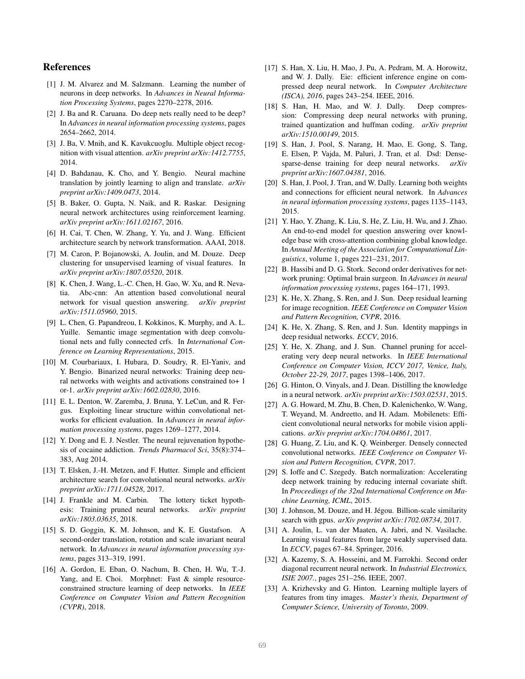## References

- [1] J. M. Alvarez and M. Salzmann. Learning the number of neurons in deep networks. In *Advances in Neural Information Processing Systems*, pages 2270–2278, 2016.
- [2] J. Ba and R. Caruana. Do deep nets really need to be deep? In *Advances in neural information processing systems*, pages 2654–2662, 2014.
- [3] J. Ba, V. Mnih, and K. Kavukcuoglu. Multiple object recognition with visual attention. *arXiv preprint arXiv:1412.7755*, 2014.
- [4] D. Bahdanau, K. Cho, and Y. Bengio. Neural machine translation by jointly learning to align and translate. *arXiv preprint arXiv:1409.0473*, 2014.
- [5] B. Baker, O. Gupta, N. Naik, and R. Raskar. Designing neural network architectures using reinforcement learning. *arXiv preprint arXiv:1611.02167*, 2016.
- [6] H. Cai, T. Chen, W. Zhang, Y. Yu, and J. Wang. Efficient architecture search by network transformation. AAAI, 2018.
- [7] M. Caron, P. Bojanowski, A. Joulin, and M. Douze. Deep clustering for unsupervised learning of visual features. In *arXiv preprint arXiv:1807.05520*, 2018.
- [8] K. Chen, J. Wang, L.-C. Chen, H. Gao, W. Xu, and R. Nevatia. Abc-cnn: An attention based convolutional neural network for visual question answering. *arXiv preprint arXiv:1511.05960*, 2015.
- [9] L. Chen, G. Papandreou, I. Kokkinos, K. Murphy, and A. L. Yuille. Semantic image segmentation with deep convolutional nets and fully connected crfs. In *International Conference on Learning Representations*, 2015.
- [10] M. Courbariaux, I. Hubara, D. Soudry, R. El-Yaniv, and Y. Bengio. Binarized neural networks: Training deep neural networks with weights and activations constrained to+ 1 or-1. *arXiv preprint arXiv:1602.02830*, 2016.
- [11] E. L. Denton, W. Zaremba, J. Bruna, Y. LeCun, and R. Fergus. Exploiting linear structure within convolutional networks for efficient evaluation. In *Advances in neural information processing systems*, pages 1269–1277, 2014.
- [12] Y. Dong and E. J. Nestler. The neural rejuvenation hypothesis of cocaine addiction. *Trends Pharmacol Sci*, 35(8):374– 383, Aug 2014.
- [13] T. Elsken, J.-H. Metzen, and F. Hutter. Simple and efficient architecture search for convolutional neural networks. *arXiv preprint arXiv:1711.04528*, 2017.
- [14] J. Frankle and M. Carbin. The lottery ticket hypothesis: Training pruned neural networks. *arXiv preprint arXiv:1803.03635*, 2018.
- [15] S. D. Goggin, K. M. Johnson, and K. E. Gustafson. A second-order translation, rotation and scale invariant neural network. In *Advances in neural information processing systems*, pages 313–319, 1991.
- [16] A. Gordon, E. Eban, O. Nachum, B. Chen, H. Wu, T.-J. Yang, and E. Choi. Morphnet: Fast & simple resourceconstrained structure learning of deep networks. In *IEEE Conference on Computer Vision and Pattern Recognition (CVPR)*, 2018.
- [17] S. Han, X. Liu, H. Mao, J. Pu, A. Pedram, M. A. Horowitz, and W. J. Dally. Eie: efficient inference engine on compressed deep neural network. In *Computer Architecture (ISCA), 2016*, pages 243–254. IEEE, 2016.
- [18] S. Han, H. Mao, and W. J. Dally. Deep compression: Compressing deep neural networks with pruning, trained quantization and huffman coding. *arXiv preprint arXiv:1510.00149*, 2015.
- [19] S. Han, J. Pool, S. Narang, H. Mao, E. Gong, S. Tang, E. Elsen, P. Vajda, M. Paluri, J. Tran, et al. Dsd: Densesparse-dense training for deep neural networks. *arXiv preprint arXiv:1607.04381*, 2016.
- [20] S. Han, J. Pool, J. Tran, and W. Dally. Learning both weights and connections for efficient neural network. In *Advances in neural information processing systems*, pages 1135–1143, 2015.
- [21] Y. Hao, Y. Zhang, K. Liu, S. He, Z. Liu, H. Wu, and J. Zhao. An end-to-end model for question answering over knowledge base with cross-attention combining global knowledge. In *Annual Meeting of the Association for Computational Linguistics*, volume 1, pages 221–231, 2017.
- [22] B. Hassibi and D. G. Stork. Second order derivatives for network pruning: Optimal brain surgeon. In *Advances in neural information processing systems*, pages 164–171, 1993.
- [23] K. He, X. Zhang, S. Ren, and J. Sun. Deep residual learning for image recognition. *IEEE Conference on Computer Vision and Pattern Recognition, CVPR*, 2016.
- [24] K. He, X. Zhang, S. Ren, and J. Sun. Identity mappings in deep residual networks. *ECCV*, 2016.
- [25] Y. He, X. Zhang, and J. Sun. Channel pruning for accelerating very deep neural networks. In *IEEE International Conference on Computer Vision, ICCV 2017, Venice, Italy, October 22-29, 2017*, pages 1398–1406, 2017.
- [26] G. Hinton, O. Vinyals, and J. Dean. Distilling the knowledge in a neural network. *arXiv preprint arXiv:1503.02531*, 2015.
- [27] A. G. Howard, M. Zhu, B. Chen, D. Kalenichenko, W. Wang, T. Weyand, M. Andreetto, and H. Adam. Mobilenets: Efficient convolutional neural networks for mobile vision applications. *arXiv preprint arXiv:1704.04861*, 2017.
- [28] G. Huang, Z. Liu, and K. Q. Weinberger. Densely connected convolutional networks. *IEEE Conference on Computer Vision and Pattern Recognition, CVPR*, 2017.
- [29] S. Ioffe and C. Szegedy. Batch normalization: Accelerating deep network training by reducing internal covariate shift. In *Proceedings of the 32nd International Conference on Machine Learning, ICML*, 2015.
- [30] J. Johnson, M. Douze, and H. Jégou. Billion-scale similarity search with gpus. *arXiv preprint arXiv:1702.08734*, 2017.
- [31] A. Joulin, L. van der Maaten, A. Jabri, and N. Vasilache. Learning visual features from large weakly supervised data. In *ECCV*, pages 67–84. Springer, 2016.
- [32] A. Kazemy, S. A. Hosseini, and M. Farrokhi. Second order diagonal recurrent neural network. In *Industrial Electronics, ISIE 2007.*, pages 251–256. IEEE, 2007.
- [33] A. Krizhevsky and G. Hinton. Learning multiple layers of features from tiny images. *Master's thesis, Department of Computer Science, University of Toronto*, 2009.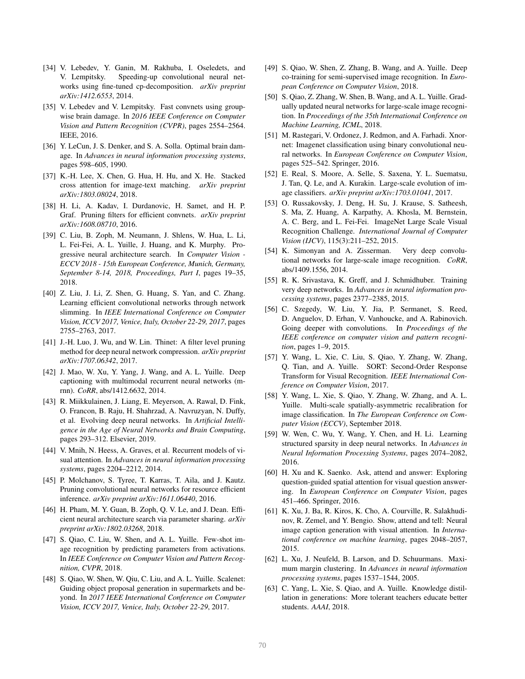- [34] V. Lebedev, Y. Ganin, M. Rakhuba, I. Oseledets, and V. Lempitsky. Speeding-up convolutional neural networks using fine-tuned cp-decomposition. *arXiv preprint arXiv:1412.6553*, 2014.
- [35] V. Lebedev and V. Lempitsky. Fast convnets using groupwise brain damage. In *2016 IEEE Conference on Computer Vision and Pattern Recognition (CVPR)*, pages 2554–2564. IEEE, 2016.
- [36] Y. LeCun, J. S. Denker, and S. A. Solla. Optimal brain damage. In *Advances in neural information processing systems*, pages 598–605, 1990.
- [37] K.-H. Lee, X. Chen, G. Hua, H. Hu, and X. He. Stacked cross attention for image-text matching. *arXiv preprint arXiv:1803.08024*, 2018.
- [38] H. Li, A. Kadav, I. Durdanovic, H. Samet, and H. P. Graf. Pruning filters for efficient convnets. *arXiv preprint arXiv:1608.08710*, 2016.
- [39] C. Liu, B. Zoph, M. Neumann, J. Shlens, W. Hua, L. Li, L. Fei-Fei, A. L. Yuille, J. Huang, and K. Murphy. Progressive neural architecture search. In *Computer Vision - ECCV 2018 - 15th European Conference, Munich, Germany, September 8-14, 2018, Proceedings, Part I*, pages 19–35, 2018.
- [40] Z. Liu, J. Li, Z. Shen, G. Huang, S. Yan, and C. Zhang. Learning efficient convolutional networks through network slimming. In *IEEE International Conference on Computer Vision, ICCV 2017, Venice, Italy, October 22-29, 2017*, pages 2755–2763, 2017.
- [41] J.-H. Luo, J. Wu, and W. Lin. Thinet: A filter level pruning method for deep neural network compression. *arXiv preprint arXiv:1707.06342*, 2017.
- [42] J. Mao, W. Xu, Y. Yang, J. Wang, and A. L. Yuille. Deep captioning with multimodal recurrent neural networks (mrnn). *CoRR*, abs/1412.6632, 2014.
- [43] R. Miikkulainen, J. Liang, E. Meyerson, A. Rawal, D. Fink, O. Francon, B. Raju, H. Shahrzad, A. Navruzyan, N. Duffy, et al. Evolving deep neural networks. In *Artificial Intelligence in the Age of Neural Networks and Brain Computing*, pages 293–312. Elsevier, 2019.
- [44] V. Mnih, N. Heess, A. Graves, et al. Recurrent models of visual attention. In *Advances in neural information processing systems*, pages 2204–2212, 2014.
- [45] P. Molchanov, S. Tyree, T. Karras, T. Aila, and J. Kautz. Pruning convolutional neural networks for resource efficient inference. *arXiv preprint arXiv:1611.06440*, 2016.
- [46] H. Pham, M. Y. Guan, B. Zoph, Q. V. Le, and J. Dean. Efficient neural architecture search via parameter sharing. *arXiv preprint arXiv:1802.03268*, 2018.
- [47] S. Qiao, C. Liu, W. Shen, and A. L. Yuille. Few-shot image recognition by predicting parameters from activations. In *IEEE Conference on Computer Vision and Pattern Recognition, CVPR*, 2018.
- [48] S. Qiao, W. Shen, W. Qiu, C. Liu, and A. L. Yuille. Scalenet: Guiding object proposal generation in supermarkets and beyond. In *2017 IEEE International Conference on Computer Vision, ICCV 2017, Venice, Italy, October 22-29*, 2017.
- [49] S. Qiao, W. Shen, Z. Zhang, B. Wang, and A. Yuille. Deep co-training for semi-supervised image recognition. In *European Conference on Computer Vision*, 2018.
- [50] S. Qiao, Z. Zhang, W. Shen, B. Wang, and A. L. Yuille. Gradually updated neural networks for large-scale image recognition. In *Proceedings of the 35th International Conference on Machine Learning, ICML*, 2018.
- [51] M. Rastegari, V. Ordonez, J. Redmon, and A. Farhadi. Xnornet: Imagenet classification using binary convolutional neural networks. In *European Conference on Computer Vision*, pages 525–542. Springer, 2016.
- [52] E. Real, S. Moore, A. Selle, S. Saxena, Y. L. Suematsu, J. Tan, Q. Le, and A. Kurakin. Large-scale evolution of image classifiers. *arXiv preprint arXiv:1703.01041*, 2017.
- [53] O. Russakovsky, J. Deng, H. Su, J. Krause, S. Satheesh, S. Ma, Z. Huang, A. Karpathy, A. Khosla, M. Bernstein, A. C. Berg, and L. Fei-Fei. ImageNet Large Scale Visual Recognition Challenge. *International Journal of Computer Vision (IJCV)*, 115(3):211–252, 2015.
- [54] K. Simonyan and A. Zisserman. Very deep convolutional networks for large-scale image recognition. *CoRR*, abs/1409.1556, 2014.
- [55] R. K. Srivastava, K. Greff, and J. Schmidhuber. Training very deep networks. In *Advances in neural information processing systems*, pages 2377–2385, 2015.
- [56] C. Szegedy, W. Liu, Y. Jia, P. Sermanet, S. Reed, D. Anguelov, D. Erhan, V. Vanhoucke, and A. Rabinovich. Going deeper with convolutions. In *Proceedings of the IEEE conference on computer vision and pattern recognition*, pages 1–9, 2015.
- [57] Y. Wang, L. Xie, C. Liu, S. Qiao, Y. Zhang, W. Zhang, Q. Tian, and A. Yuille. SORT: Second-Order Response Transform for Visual Recognition. *IEEE International Conference on Computer Vision*, 2017.
- [58] Y. Wang, L. Xie, S. Qiao, Y. Zhang, W. Zhang, and A. L. Yuille. Multi-scale spatially-asymmetric recalibration for image classification. In *The European Conference on Computer Vision (ECCV)*, September 2018.
- [59] W. Wen, C. Wu, Y. Wang, Y. Chen, and H. Li. Learning structured sparsity in deep neural networks. In *Advances in Neural Information Processing Systems*, pages 2074–2082, 2016.
- [60] H. Xu and K. Saenko. Ask, attend and answer: Exploring question-guided spatial attention for visual question answering. In *European Conference on Computer Vision*, pages 451–466. Springer, 2016.
- [61] K. Xu, J. Ba, R. Kiros, K. Cho, A. Courville, R. Salakhudinov, R. Zemel, and Y. Bengio. Show, attend and tell: Neural image caption generation with visual attention. In *International conference on machine learning*, pages 2048–2057, 2015.
- [62] L. Xu, J. Neufeld, B. Larson, and D. Schuurmans. Maximum margin clustering. In *Advances in neural information processing systems*, pages 1537–1544, 2005.
- [63] C. Yang, L. Xie, S. Qiao, and A. Yuille. Knowledge distillation in generations: More tolerant teachers educate better students. *AAAI*, 2018.